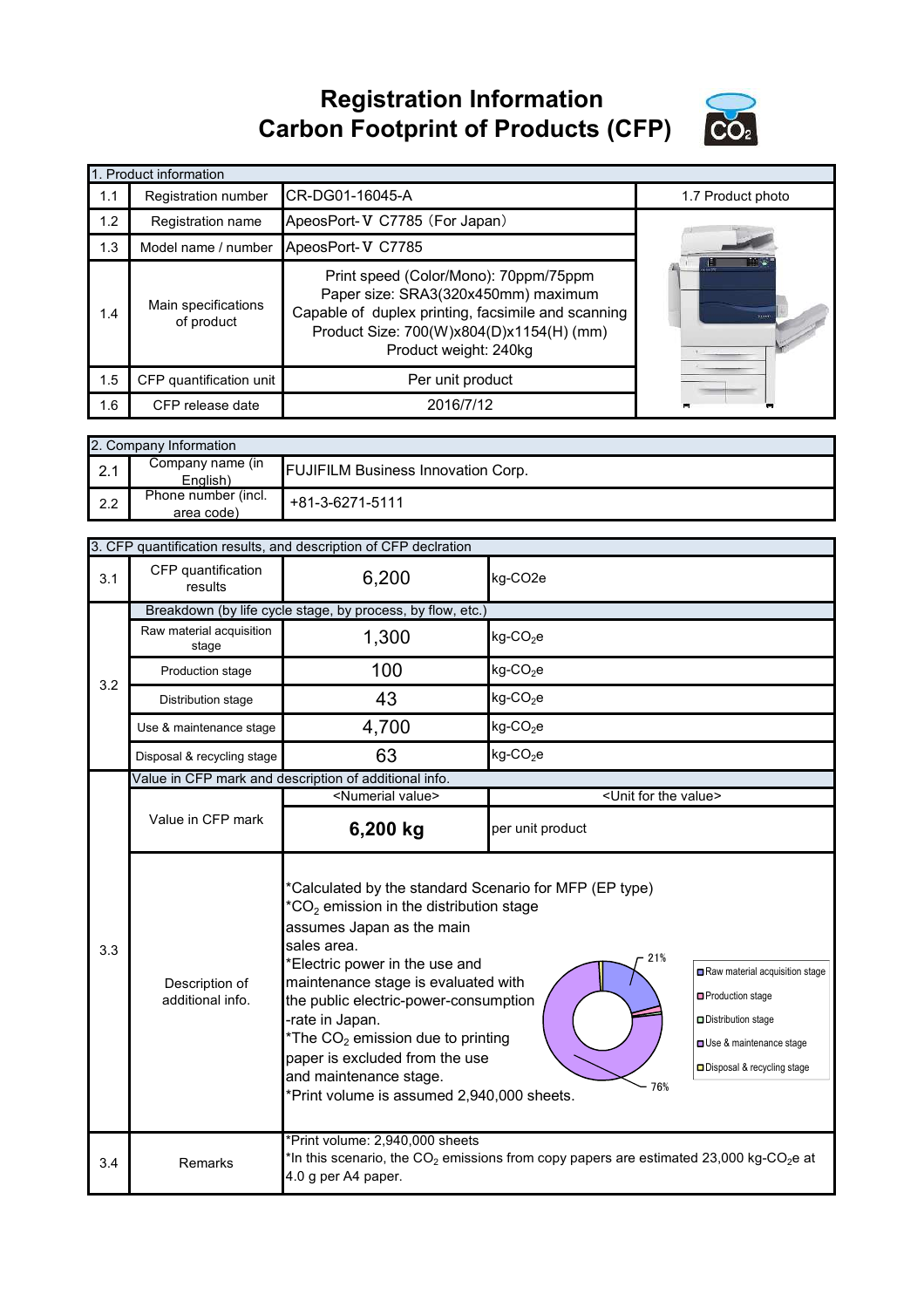## **Registration Information Carbon Footprint of Products (CFP)**



|     | 1. Product information            |                                                                                                                                                                                                         |                   |
|-----|-----------------------------------|---------------------------------------------------------------------------------------------------------------------------------------------------------------------------------------------------------|-------------------|
| 1.1 | Registration number               | CR-DG01-16045-A                                                                                                                                                                                         | 1.7 Product photo |
| 1.2 | Registration name                 | ApeosPort-V C7785 (For Japan)                                                                                                                                                                           |                   |
| 1.3 | Model name / number               | ApeosPort-V C7785                                                                                                                                                                                       |                   |
| 1.4 | Main specifications<br>of product | Print speed (Color/Mono): 70ppm/75ppm<br>Paper size: SRA3(320x450mm) maximum<br>Capable of duplex printing, facsimile and scanning<br>Product Size: 700(W)x804(D)x1154(H) (mm)<br>Product weight: 240kg |                   |
| 1.5 | CFP quantification unit           | Per unit product                                                                                                                                                                                        |                   |
| 1.6 | CFP release date                  | 2016/7/12                                                                                                                                                                                               | −                 |

|     | 2. Company Information            |                                           |  |  |  |
|-----|-----------------------------------|-------------------------------------------|--|--|--|
| 2.1 | Company name (in<br>English)      | <b>FUJIFILM Business Innovation Corp.</b> |  |  |  |
| 2.2 | Phone number (incl.<br>area code) | +81-3-6271-5111                           |  |  |  |

|     | 3. CFP quantification results, and description of CFP declration |                                                                                                                                                                                                                                                                                                                                                                                                                                                                                                                                                                                              |                                                                                                                |  |  |
|-----|------------------------------------------------------------------|----------------------------------------------------------------------------------------------------------------------------------------------------------------------------------------------------------------------------------------------------------------------------------------------------------------------------------------------------------------------------------------------------------------------------------------------------------------------------------------------------------------------------------------------------------------------------------------------|----------------------------------------------------------------------------------------------------------------|--|--|
| 3.1 | CFP quantification<br>results                                    | 6,200                                                                                                                                                                                                                                                                                                                                                                                                                                                                                                                                                                                        | kg-CO2e                                                                                                        |  |  |
|     |                                                                  | Breakdown (by life cycle stage, by process, by flow, etc.)                                                                                                                                                                                                                                                                                                                                                                                                                                                                                                                                   |                                                                                                                |  |  |
|     | Raw material acquisition<br>stage                                | 1,300                                                                                                                                                                                                                                                                                                                                                                                                                                                                                                                                                                                        | $kg$ -CO <sub>2</sub> e                                                                                        |  |  |
| 3.2 | Production stage                                                 | 100                                                                                                                                                                                                                                                                                                                                                                                                                                                                                                                                                                                          | $kg$ -CO <sub>2</sub> e                                                                                        |  |  |
|     | Distribution stage                                               | 43                                                                                                                                                                                                                                                                                                                                                                                                                                                                                                                                                                                           | $kg$ -CO <sub>2</sub> e                                                                                        |  |  |
|     | Use & maintenance stage                                          | 4,700                                                                                                                                                                                                                                                                                                                                                                                                                                                                                                                                                                                        | $kg$ -CO <sub>2</sub> e                                                                                        |  |  |
|     | Disposal & recycling stage                                       | 63                                                                                                                                                                                                                                                                                                                                                                                                                                                                                                                                                                                           | $kg$ -CO <sub>2</sub> e                                                                                        |  |  |
|     |                                                                  | Value in CFP mark and description of additional info.                                                                                                                                                                                                                                                                                                                                                                                                                                                                                                                                        |                                                                                                                |  |  |
|     |                                                                  | <numerial value=""></numerial>                                                                                                                                                                                                                                                                                                                                                                                                                                                                                                                                                               | <unit for="" the="" value=""></unit>                                                                           |  |  |
|     | Value in CFP mark                                                | 6,200 kg                                                                                                                                                                                                                                                                                                                                                                                                                                                                                                                                                                                     | per unit product                                                                                               |  |  |
| 3.3 | Description of<br>additional info.                               | *Calculated by the standard Scenario for MFP (EP type)<br>$^*CO_2$ emission in the distribution stage<br>assumes Japan as the main<br>sales area.<br>21%<br>*Electric power in the use and<br>Raw material acquisition stage<br>maintenance stage is evaluated with<br>□ Production stage<br>the public electric-power-consumption<br>-rate in Japan.<br>Distribution stage<br>*The $CO2$ emission due to printing<br>Use & maintenance stage<br>paper is excluded from the use<br>Disposal & recycling stage<br>and maintenance stage.<br>76%<br>*Print volume is assumed 2,940,000 sheets. |                                                                                                                |  |  |
| 3.4 | Remarks                                                          | *Print volume: 2,940,000 sheets<br>4.0 g per A4 paper.                                                                                                                                                                                                                                                                                                                                                                                                                                                                                                                                       | *In this scenario, the CO <sub>2</sub> emissions from copy papers are estimated 23,000 kg-CO <sub>2</sub> e at |  |  |